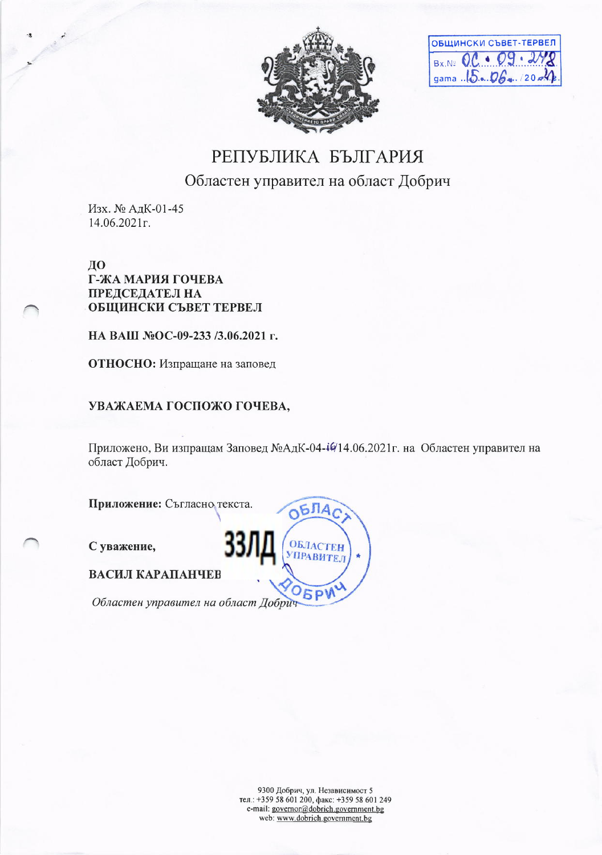

ОБЩИНСКИ СЪВЕТ-ТЕРВЕЛ Bx.No OC . 09.2 gama  $.5.06$ 

# РЕПУБЛИКА БЪЛГАРИЯ

Областен управител на област Добрич

Изх. № АдК-01-45 14.06.2021r.

## ДО Г-ЖА МАРИЯ ГОЧЕВА **ПРЕДСЕДАТЕЛ НА** ОБЩИНСКИ СЪВЕТ ТЕРВЕЛ

НА ВАШ №ОС-09-233 /3.06.2021 г.

ОТНОСНО: Изпращане на заповед

УВАЖАЕМА ГОСПОЖО ГОЧЕВА,

Приложено, Ви изпращам Заповед №АдК-04-4414.06.2021г. на Областен управител на област Добрич.

ОБЛА

БЛАСТЕН

**PABUTE** 

**SPV** 

Приложение: Съгласно текста.

С уважение,

**ВАСИЛ КАРАПАНЧЕВ** 

Областен управител на област Добрич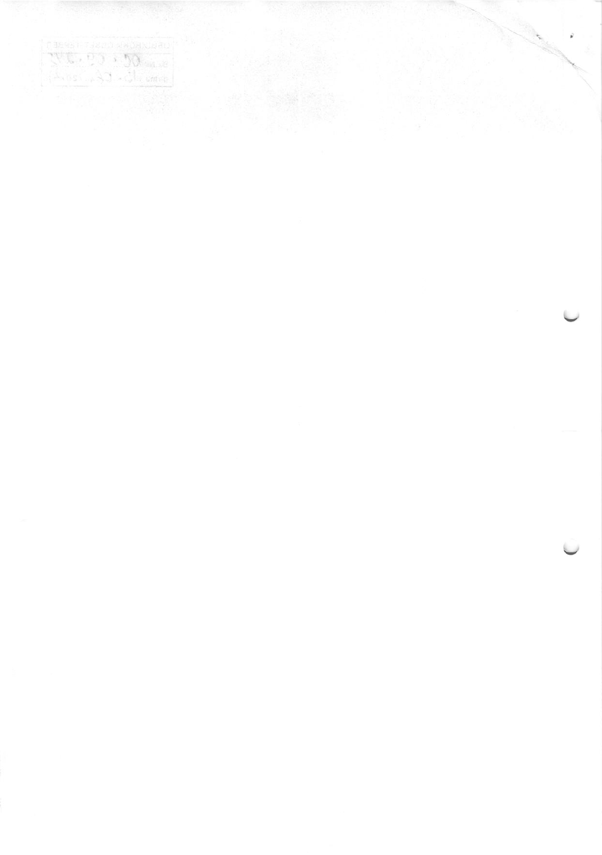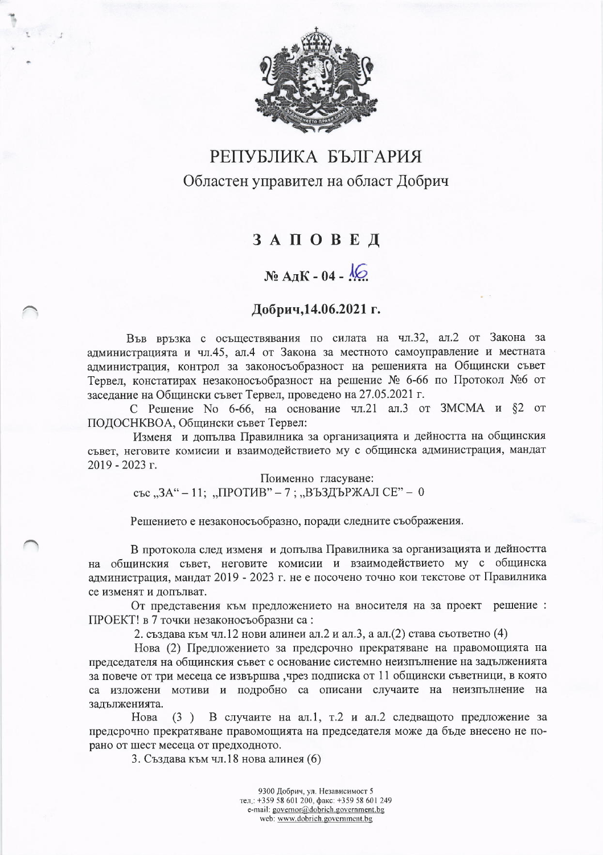

# **РЕПУБЛИКА БЪЛГАРИЯ** Областен управител на област Добрич

# ЗАПОВЕД

# $N_2 A \pi K - 04 - \frac{\sqrt{9}}{9}$

### Добрич, 14.06.2021 г.

Във връзка с осъществявания по силата на чл.32, ал.2 от Закона за администрацията и чл.45, ал.4 от Закона за местното самоуправление и местната администрация, контрол за законосъобразност на решенията на Общински съвет Тервел, констатирах незаконосъобразност на решение № 6-66 по Протокол №6 от заседание на Общински съвет Тервел, проведено на 27.05.2021 г.

С Решение No 6-66, на основание чл.21 ал.3 от ЗМСМА и §2 от ПОДОСНКВОА, Общински съвет Тервел:

Изменя и допълва Правилника за организацията и дейността на общинския съвет, неговите комисии и взаимодействието му с общинска администрация, мандат 2019 - 2023 г.

Поименно гласуване:

със "ЗА" – 11; "ПРОТИВ" – 7; "ВЪЗДЪРЖАЛ СЕ" – 0

Решението е незаконосъобразно, поради следните съображения.

В протокола след изменя и допълва Правилника за организацията и дейността на общинския съвет, неговите комисии и взаимодействието му с общинска администрация, мандат 2019 - 2023 г. не е посочено точно кои текстове от Правилника се изменят и допълват.

От представения към предложението на вносителя на за проект решение: ПРОЕКТ! в 7 точки незаконосъобразни са:

2. създава към чл.12 нови алинеи ал.2 и ал.3, а ал.(2) става съответно (4)

Нова (2) Предложението за предсрочно прекратяване на правомощията на председателя на общинския съвет с основание системно неизпълнение на задълженията за повече от три месеца се извършва, чрез подписка от 11 общински съветници, в която са изложени мотиви и подробно са описани случаите на неизпълнение на задълженията.

В случаите на ал.1, т.2 и ал.2 следващото предложение за Нова  $(3)$ предсрочно прекратяване правомощията на председателя може да бъде внесено не порано от шест месеца от предходното.

3. Създава към чл.18 нова алинея (6)